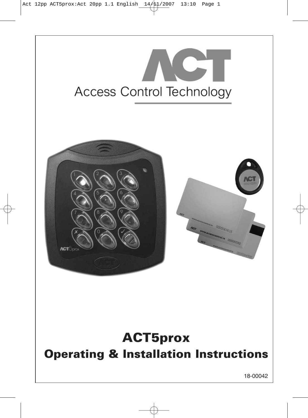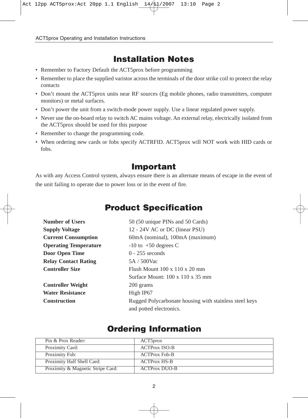# **Installation Notes**

- Remember to Factory Default the ACT5prox before programming
- Remember to place the supplied varistor across the terminals of the door strike coil to protect the relay contacts
- Don't mount the ACT5prox units near RF sources (Eg mobile phones, radio transmitters, computer monitors) or metal surfaces.
- Don't power the unit from a switch-mode power supply. Use a linear regulated power supply.
- Never use the on-board relay to switch AC mains voltage. An external relay, electrically isolated from the ACT5prox should be used for this purpose
- Remember to change the programming code.
- When ordering new cards or fobs specify ACTRFID. ACT5prox will NOT work with HID cards or fobs.

## **Important**

As with any Access Control system, always ensure there is an alternate means of escape in the event of the unit failing to operate due to power loss or in the event of fire.

# **Product Specification**

| <b>Number of Users</b>       | 50 (50 unique PINs and 50 Cards)                       |
|------------------------------|--------------------------------------------------------|
| <b>Supply Voltage</b>        | 12 - 24V AC or DC (linear PSU)                         |
| <b>Current Consumption</b>   | 60mA (nominal), 100mA (maximum)                        |
| <b>Operating Temperature</b> | $-10$ to $+50$ degrees C                               |
| Door Open Time               | $0 - 255$ seconds                                      |
| <b>Relay Contact Rating</b>  | 5A / 500Vac                                            |
| <b>Controller Size</b>       | Flush Mount $100 \times 110 \times 20$ mm              |
|                              | Surface Mount: $100 \times 110 \times 35$ mm           |
| <b>Controller Weight</b>     | 200 grams                                              |
| <b>Water Resistance</b>      | High IP67                                              |
| <b>Construction</b>          | Rugged Polycarbonate housing with stainless steel keys |
|                              | and potted electronics.                                |

## **Ordering Information**

| Pin & Prox Reader:                | ACT <sub>5</sub> prox |
|-----------------------------------|-----------------------|
| Proximity Card:                   | <b>ACTProx ISO-B</b>  |
| Proximity Fob:                    | <b>ACTProx Fob-B</b>  |
| Proximity Half Shell Card:        | <b>ACTProx HS-B</b>   |
| Proximity & Magnetic Stripe Card: | <b>ACTProx DUO-B</b>  |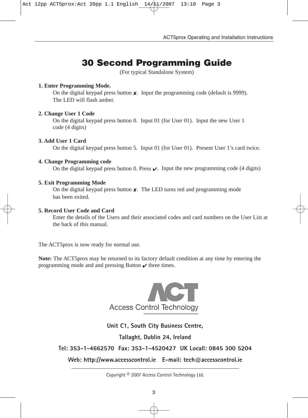# **30 Second Programming Guide**

(For typical Standalone System)

### **1. Enter Programming Mode.**

On the digital keypad press button  $\boldsymbol{\chi}$ . Input the programming code (default is 9999). The LED will flash amber.

### **2. Change User 1 Code**

On the digital keypad press button 0. Input 01 (for User 01). Input the new User 1 code (4 digits)

### **3. Add User 1 Card**

On the digital keypad press button 5. Input 01 (for User 01). Present User 1's card twice.

### **4. Change Programming code**

On the digital keypad press button 0. Press  $\chi$ . Input the new programming code (4 digits)

### **5. Exit Programming Mode**

On the digital keypad press button **✘**. The LED turns red and programming mode has been exited.

### **5. Record User Code and Card**

Enter the details of the Users and their associated codes and card numbers on the User List at the back of this manual.

The ACT5prox is now ready for normal use.

**Note:** The ACT5prox may be returned to its factory default condition at any time by entering the programming mode and and pressing Button **✔** three times.



## **Unit C1, South City Business Centre,**

**Tallaght, Dublin 24, Ireland**

**Tel: 353-1-4662570 Fax: 353-1-4520427 UK Locall: 0845 300 5204**

**Web: http://www.accesscontrol.ie E-mail: tech@accesscontrol.ie**

Copyright © 2007 Access Control Technology Ltd.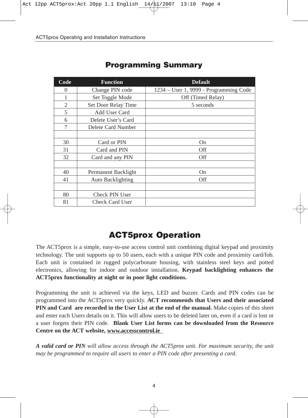| Code | <b>Function</b>     | <b>Default</b>                         |
|------|---------------------|----------------------------------------|
| 0    | Change PIN code     | 1234 – User 1, 9999 - Programming Code |
|      | Set Toggle Mode     | Off (Timed Relay)                      |
| 2    | Set Door Relay Time | 5 seconds                              |
| 5    | Add User Card       |                                        |
| 6    | Delete User's Card  |                                        |
| 7    | Delete Card Number  |                                        |
|      |                     |                                        |
| 30   | Card or PIN         | On                                     |
| 31   | Card and PIN        | Off                                    |
| 32   | Card and any PIN    | Off                                    |
|      |                     |                                        |
| 40   | Permanent Backlight | On                                     |
| 41   | Auto Backlighting   | Off                                    |
|      |                     |                                        |
| 80   | Check PIN User      |                                        |
| 81   | Check Card User     |                                        |

## **Programming Summary**

# **ACT5prox Operation**

The ACT5prox is a simple, easy-to-use access control unit combining digital keypad and proximity technology. The unit supports up to 50 users, each with a unique PIN code and proximity card/fob. Each unit is contained in rugged polycarbonate housing, with stainless steel keys and potted electronics, allowing for indoor and outdoor installation. **Keypad backlighting enhances the ACT5prox functionality at night or in poor light conditions.**

Programming the unit is achieved via the keys, LED and buzzer. Cards and PIN codes can be programmed into the ACT5prox very quickly. **ACT recommends that Users and their associated PIN and Card are recorded in the User List at the end of the manual.** Make copies of this sheet and enter each Users details on it. This will allow users to be deleted later on, even if a card is lost or a user forgets their PIN code. **Blank User List forms can be downloaded from the Resource Centre on the ACT website, www.accesscontrol.ie**

*A valid card or PIN will allow access through the ACT5prox unit. For maximum security, the unit may be programmed to require all users to enter a PIN code after presenting a card.*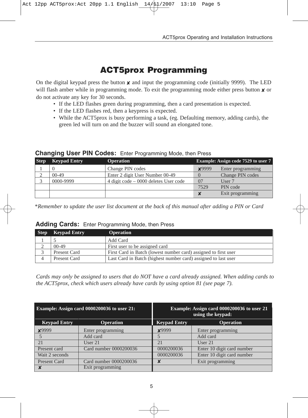# **ACT5prox Programming**

On the digital keypad press the button *x* and input the programming code (initially 9999). The LED will flash amber while in programming mode. To exit the programming mode either press button *x* or do not activate any key for 30 seconds.

- If the LED flashes green during programming, then a card presentation is expected.
- If the LED flashes red, then a keypress is expected.
- While the ACT5prox is busy performing a task, (eg. Defaulting memory, adding cards), the green led will turn on and the buzzer will sound an elongated tone.

### **Changing User PIN Codes:** Enter Programming Mode, then Press

| <b>Step</b> | <b>Keypad Entry</b> | <b>Operation</b>                         |              | Example: Assign code 7529 to user 7 |
|-------------|---------------------|------------------------------------------|--------------|-------------------------------------|
|             |                     | Change PIN codes                         | <b>×9999</b> | Enter programming                   |
|             | $00-49$             | Enter 2 digit User Number 00-49          |              | Change PIN codes                    |
|             | 0000-9999           | $4$ digit code $-0000$ deletes User code | 07           | User 7                              |
|             |                     |                                          | 7529         | PIN code                            |
|             |                     |                                          |              | Exit programming                    |

\**Remember to update the user list document at the back of this manual after adding a PIN or Card*

### **Adding Cards:** Enter Programming Mode, then Press

| <b>Step</b> | <b>Keypad Entry</b> | <b>Operation</b>                                                |
|-------------|---------------------|-----------------------------------------------------------------|
|             |                     | Add Card                                                        |
|             | $00-49$             | First user to be assigned card                                  |
|             | Present Card        | First Card in Batch (lowest number card) assigned to first user |
|             | Present Card        | Last Card in Batch (highest number card) assigned to last user  |

*Cards may only be assigned to users that do NOT have a card already assigned. When adding cards to the ACT5prox, check which users already have cards by using option 81 (see page 7).*

|                     | Example: Assign card 0000200036 to user 21: | Example: Assign card 0000200036 to user 21<br>using the keypad: |                            |  |
|---------------------|---------------------------------------------|-----------------------------------------------------------------|----------------------------|--|
| <b>Keypad Entry</b> | <b>Operation</b>                            | <b>Keypad Entry</b>                                             | <b>Operation</b>           |  |
| <b>×9999</b>        | Enter programming                           | ¥9999                                                           | Enter programming          |  |
|                     | Add card                                    |                                                                 | Add card                   |  |
| 21                  | User $21$                                   | 2.1                                                             | User $21$                  |  |
| Present card        | Card number 0000200036                      | 0000200036                                                      | Enter 10 digit card number |  |
| Wait 2 seconds      |                                             | 0000200036                                                      | Enter 10 digit card number |  |
| Present Card        | Card number 0000200036                      |                                                                 | Exit programming           |  |
| x                   | Exit programming                            |                                                                 |                            |  |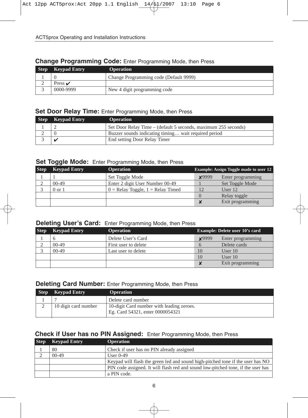### **Change Programming Code:** Enter Programming Mode, then Press

| <b>Step</b> | <b>Keypad Entry</b> | <b>Operation</b>                       |
|-------------|---------------------|----------------------------------------|
|             |                     | Change Programming code (Default 9999) |
|             | Press $\mathcal V$  |                                        |
|             | 0000-9999           | New 4 digit programming code           |

## **Set Door Relay Time:** Enter Programming Mode, then Press

| <b>Step</b> Keypad Entry | <b>Operation</b>                                               |
|--------------------------|----------------------------------------------------------------|
|                          | Set Door Relay Time – (default 5 seconds, maximum 255 seconds) |
|                          | Buzzer sounds indicating timing wait required period           |
|                          | End setting Door Relay Timer                                   |

### **Set Toggle Mode:** Enter Programming Mode, then Press

| <b>Step</b> | <b>Keypad Entry</b> | <b>Operation</b>                      |              | <b>Example:</b> Assign Toggle made to user 12 |
|-------------|---------------------|---------------------------------------|--------------|-----------------------------------------------|
|             |                     | Set Toggle Mode                       | <b>X9999</b> | Enter programming                             |
|             | $00-49$             | Enter 2 digit User Number 00-49       |              | Set Toggle Mode                               |
|             | $0 \text{ or } 1$   | $0 =$ Relay Toggle, $1 =$ Relay Timed |              | User $12$                                     |
|             |                     |                                       |              | Relay toggle                                  |
|             |                     |                                       |              | Exit programming                              |

### **Deleting User's Card:** Enter Programming Mode, then Press

| <b>Step</b> | <b>Keypad Entry</b> | <b>Operation</b>     |              | <b>Example: Delete user 10's card</b> |
|-------------|---------------------|----------------------|--------------|---------------------------------------|
|             |                     | Delete User's Card   | <b>×9999</b> | Enter programming                     |
|             | $00-49$             | First user to delete |              | Delete cards                          |
|             | $00-49$             | Last user to delete  | 10           | User $10$                             |
|             |                     |                      | 10           | User $10$                             |
|             |                     |                      |              | Exit programming                      |

### **Deleting Card Number:** Enter Programming Mode, then Press

| <b>Step</b> | <b>Keypad Entry</b>  | <b>Operation</b>                          |
|-------------|----------------------|-------------------------------------------|
|             |                      | Delete card number                        |
|             | 10 digit card number | 10-digit Card number with leading zeroes. |
|             |                      | Eg. Card 54321, enter 0000054321          |

## **Check if User has no PIN Assigned:** Enter Programming Mode, then Press

| <b>Step</b> | <b>Keypad Entry</b> | <b>Operation</b>                                                                 |
|-------------|---------------------|----------------------------------------------------------------------------------|
|             | 80                  | Check if user has no PIN already assigned                                        |
|             | $00-49$             | User $0-49$                                                                      |
|             |                     | Keypad will flash the green led and sound high-pitched tone if the user has NO   |
|             |                     | PIN code assigned. It will flash red and sound low-pitched tone, if the user has |
|             |                     | a PIN code.                                                                      |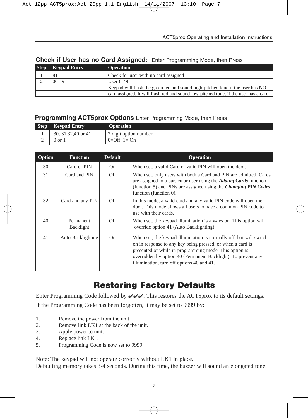| <b>Step</b> | <b>Keypad Entry</b> | <b>Operation</b>                                                                     |
|-------------|---------------------|--------------------------------------------------------------------------------------|
|             | 81                  | Check for user with no card assigned                                                 |
|             | $00-49$             | User $0-49$                                                                          |
|             |                     | Keypad will flash the green led and sound high-pitched tone if the user has NO       |
|             |                     | card assigned. It will flash red and sound low-pitched tone, if the user has a card. |

## **Check if User has no Card Assigned:** Enter Programming Mode, then Press

## **Programming ACT5prox Options** Enter Programming Mode, then Press

| <b>Step</b> | <b>Keypad Entry</b>  | <b>Operation</b>      |
|-------------|----------------------|-----------------------|
|             | 30, 31, 32, 40 or 41 | 2 digit option number |
|             | 0 or 1               | $0=$ Off. $1=$ On     |

| Option | <b>Function</b>        | <b>Default</b> | <b>Operation</b>                                                                                                                                                                                                                                                                                         |  |
|--------|------------------------|----------------|----------------------------------------------------------------------------------------------------------------------------------------------------------------------------------------------------------------------------------------------------------------------------------------------------------|--|
| 30     | Card or PIN            | On             | When set, a valid Card or valid PIN will open the door.                                                                                                                                                                                                                                                  |  |
| 31     | Card and PIN           | Off            | When set, only users with both a Card and PIN are admitted. Cards<br>are assigned to a particular user using the <i>Adding Cards</i> function<br>(function 5) and PINs are assigned using the <i>Changing PIN Codes</i><br>function (function 0).                                                        |  |
| 32     | Card and any PIN       | Off            | In this mode, a valid card and any valid PIN code will open the<br>door. This mode allows all users to have a common PIN code to<br>use with their cards.                                                                                                                                                |  |
| 40     | Permanent<br>Backlight | Off            | When set, the keypad illumination is always on. This option will<br>override option 41 (Auto Backlighting)                                                                                                                                                                                               |  |
| 41     | Auto Backlighting      | On             | When set, the keypad illumination is normally off, but will switch<br>on in response to any key being pressed, or when a card is<br>presented or while in programming mode. This option is<br>overridden by option 40 (Permanent Backlight). To prevent any<br>illumination, turn off options 40 and 41. |  |

# **Restoring Factory Defaults**

Enter Programming Code followed by  $\sqrt{\sqrt{\cdot}}$ . This restores the ACT5prox to its default settings.

If the Programming Code has been forgotten, it may be set to 9999 by:

- 1. Remove the power from the unit.
- 2. Remove link LK1 at the back of the unit.
- 3. Apply power to unit.
- 4. Replace link LK1.
- 5. Programming Code is now set to 9999.

Note: The keypad will not operate correctly without LK1 in place.

Defaulting memory takes 3-4 seconds. During this time, the buzzer will sound an elongated tone.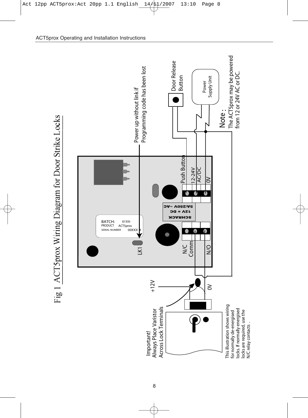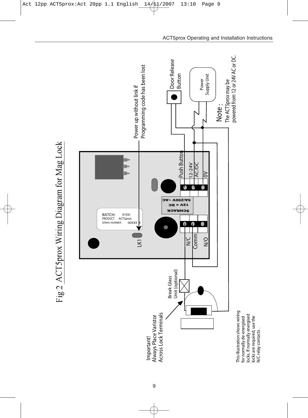

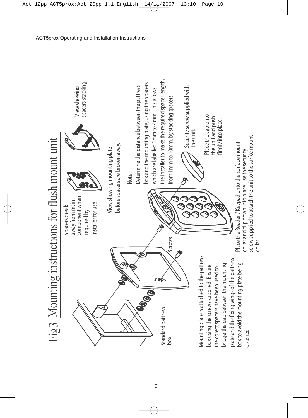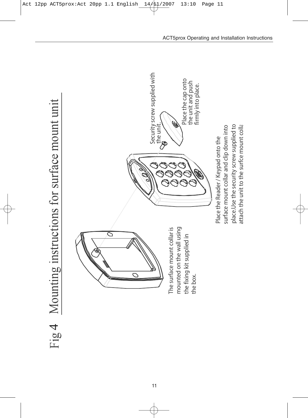

11